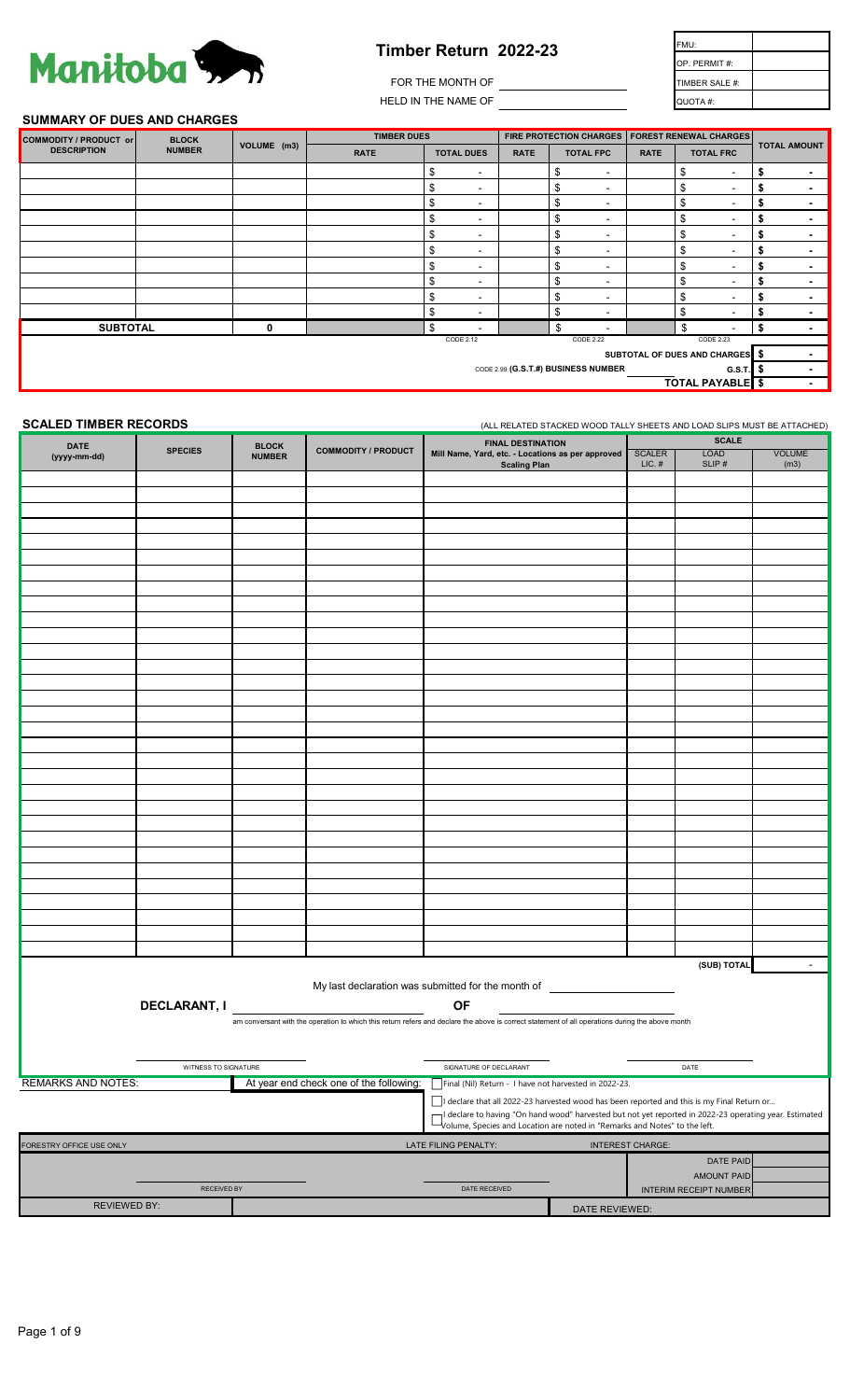# Manitoba 3.

# **Timber Return 2022-23**

| <b>Timber Return 2022-23</b> | FMU:           |  |
|------------------------------|----------------|--|
|                              | OP. PERMIT#:   |  |
| FOR THE MONTH OF             | TIMBER SALE #: |  |
| HELD IN THE NAME OF          | QUOTA #:       |  |

#### **SUMMARY OF DUES AND CHARGES**

| <b>BLOCK</b><br>COMMODITY / PRODUCT or                     |                                     | <b>TIMBER DUES</b> |             |                                |             | FIRE PROTECTION CHARGES   FOREST RENEWAL CHARGES |             |                                |                          |
|------------------------------------------------------------|-------------------------------------|--------------------|-------------|--------------------------------|-------------|--------------------------------------------------|-------------|--------------------------------|--------------------------|
| <b>DESCRIPTION</b>                                         | <b>NUMBER</b>                       | VOLUME (m3)        | <b>RATE</b> | <b>TOTAL DUES</b>              | <b>RATE</b> | <b>TOTAL FPC</b>                                 | <b>RATE</b> | <b>TOTAL FRC</b>               | <b>TOTAL AMOUNT</b>      |
|                                                            |                                     |                    |             | \$<br>$\blacksquare$           |             | \$<br>$\overline{\phantom{a}}$                   |             | \$<br>$\sim$                   | $\blacksquare$           |
|                                                            |                                     |                    |             | \$<br>$\blacksquare$           |             | \$<br>$\blacksquare$                             |             | \$<br>$\sim$                   | $\blacksquare$           |
|                                                            |                                     |                    |             | \$<br>$\blacksquare$           |             | \$<br>$\blacksquare$                             |             | \$<br>$\sim$                   | $\overline{\phantom{0}}$ |
|                                                            |                                     |                    |             | \$<br>$\blacksquare$           |             | \$<br>$\blacksquare$                             |             | \$<br>$\sim$                   | $\overline{\phantom{0}}$ |
|                                                            |                                     |                    |             | \$<br>$\,$ $\,$                |             | \$<br>٠                                          |             | \$<br>$\overline{\phantom{a}}$ |                          |
|                                                            |                                     |                    |             | \$<br>$\blacksquare$           |             | \$<br>$\blacksquare$                             |             | \$<br>$\sim$                   | $\blacksquare$           |
|                                                            |                                     |                    |             | \$<br>$\blacksquare$           |             | \$<br>$\overline{\phantom{a}}$                   |             | \$<br>$\sim$                   | $\blacksquare$           |
|                                                            |                                     |                    |             | \$<br>$\blacksquare$           |             | \$<br>$\overline{\phantom{a}}$                   |             | \$<br>$\sim$                   |                          |
|                                                            |                                     |                    |             | \$<br>$\blacksquare$           |             | \$<br>$\blacksquare$                             |             | \$<br>$\sim$                   |                          |
|                                                            |                                     |                    |             | \$<br>$\overline{\phantom{a}}$ |             | \$<br>$\overline{\phantom{a}}$                   |             | \$<br>$\,$                     |                          |
| <b>SUBTOTAL</b>                                            |                                     | 0                  |             | \$                             |             | \$<br>٠                                          |             | \$<br>$\overline{\phantom{a}}$ |                          |
|                                                            | CODE 2.12<br>CODE 2.22<br>CODE 2.23 |                    |             |                                |             |                                                  |             |                                |                          |
| SUBTOTAL OF DUES AND CHARGES \$                            |                                     |                    |             |                                |             |                                                  |             |                                |                          |
| CODE 2.99 (G.S.T.#) BUSINESS NUMBER<br>$G.S.T.$ $\vert$ \$ |                                     |                    |             |                                |             |                                                  |             |                                |                          |
| <b>TOTAL PAYABLE</b>                                       |                                     |                    |             |                                |             | $\overline{\phantom{0}}$                         |             |                                |                          |
|                                                            |                                     |                    |             |                                |             |                                                  |             |                                |                          |

**SCALED TIMBER RECORDS** (ALL RELATED STACKED WOOD TALLY SHEETS AND LOAD SLIPS MUST BE ATTACHED)

| <b>DATE</b>               | <b>FINAL DESTINATION</b><br><b>BLOCK</b><br><b>SPECIES</b> |               |                                         | <b>SCALE</b>                                                                                                                                                                       |                |                           |                        |                       |
|---------------------------|------------------------------------------------------------|---------------|-----------------------------------------|------------------------------------------------------------------------------------------------------------------------------------------------------------------------------------|----------------|---------------------------|------------------------|-----------------------|
| (yyyy-mm-dd)              |                                                            | <b>NUMBER</b> | <b>COMMODITY / PRODUCT</b>              | Mill Name, Yard, etc. - Locations as per approved<br><b>Scaling Plan</b>                                                                                                           |                | <b>SCALER</b><br>$LIC.$ # | <b>LOAD</b><br>SLIP#   | <b>VOLUME</b><br>(m3) |
|                           |                                                            |               |                                         |                                                                                                                                                                                    |                |                           |                        |                       |
|                           |                                                            |               |                                         |                                                                                                                                                                                    |                |                           |                        |                       |
|                           |                                                            |               |                                         |                                                                                                                                                                                    |                |                           |                        |                       |
|                           |                                                            |               |                                         |                                                                                                                                                                                    |                |                           |                        |                       |
|                           |                                                            |               |                                         |                                                                                                                                                                                    |                |                           |                        |                       |
|                           |                                                            |               |                                         |                                                                                                                                                                                    |                |                           |                        |                       |
|                           |                                                            |               |                                         |                                                                                                                                                                                    |                |                           |                        |                       |
|                           |                                                            |               |                                         |                                                                                                                                                                                    |                |                           |                        |                       |
|                           |                                                            |               |                                         |                                                                                                                                                                                    |                |                           |                        |                       |
|                           |                                                            |               |                                         |                                                                                                                                                                                    |                |                           |                        |                       |
|                           |                                                            |               |                                         |                                                                                                                                                                                    |                |                           |                        |                       |
|                           |                                                            |               |                                         |                                                                                                                                                                                    |                |                           |                        |                       |
|                           |                                                            |               |                                         |                                                                                                                                                                                    |                |                           |                        |                       |
|                           |                                                            |               |                                         |                                                                                                                                                                                    |                |                           |                        |                       |
|                           |                                                            |               |                                         |                                                                                                                                                                                    |                |                           |                        |                       |
|                           |                                                            |               |                                         |                                                                                                                                                                                    |                |                           |                        |                       |
|                           |                                                            |               |                                         |                                                                                                                                                                                    |                |                           |                        |                       |
|                           |                                                            |               |                                         |                                                                                                                                                                                    |                |                           |                        |                       |
|                           |                                                            |               |                                         |                                                                                                                                                                                    |                |                           |                        |                       |
|                           |                                                            |               |                                         |                                                                                                                                                                                    |                |                           |                        |                       |
|                           |                                                            |               |                                         |                                                                                                                                                                                    |                |                           |                        |                       |
|                           |                                                            |               |                                         |                                                                                                                                                                                    |                |                           |                        |                       |
|                           |                                                            |               |                                         |                                                                                                                                                                                    |                |                           |                        |                       |
|                           |                                                            |               |                                         |                                                                                                                                                                                    |                |                           |                        |                       |
|                           |                                                            |               |                                         |                                                                                                                                                                                    |                |                           |                        |                       |
|                           |                                                            |               |                                         |                                                                                                                                                                                    |                |                           |                        |                       |
|                           |                                                            |               |                                         |                                                                                                                                                                                    |                |                           |                        |                       |
|                           |                                                            |               |                                         |                                                                                                                                                                                    |                |                           |                        |                       |
|                           |                                                            |               |                                         |                                                                                                                                                                                    |                |                           |                        |                       |
|                           |                                                            |               |                                         |                                                                                                                                                                                    |                |                           |                        |                       |
|                           |                                                            |               |                                         |                                                                                                                                                                                    |                |                           | (SUB) TOTAL            | $\sim$                |
|                           |                                                            |               |                                         | My last declaration was submitted for the month of <b>CONDITION</b>                                                                                                                |                |                           |                        |                       |
|                           | <b>DECLARANT, I</b>                                        |               |                                         | <b>OF</b>                                                                                                                                                                          |                |                           |                        |                       |
|                           |                                                            |               |                                         | am conversant with the operation to which this return refers and declare the above is correct statement of all operations during the above month                                   |                |                           |                        |                       |
|                           |                                                            |               |                                         |                                                                                                                                                                                    |                |                           |                        |                       |
|                           |                                                            |               |                                         |                                                                                                                                                                                    |                |                           |                        |                       |
|                           | WITNESS TO SIGNATURE                                       |               |                                         | SIGNATURE OF DECLARANT                                                                                                                                                             |                |                           | DATE                   |                       |
| <b>REMARKS AND NOTES:</b> |                                                            |               | At year end check one of the following: | Final (Nil) Return - I have not harvested in 2022-23.                                                                                                                              |                |                           |                        |                       |
|                           |                                                            |               |                                         | I declare that all 2022-23 harvested wood has been reported and this is my Final Return or                                                                                         |                |                           |                        |                       |
|                           |                                                            |               |                                         | declare to having "On hand wood" harvested but not yet reported in 2022-23 operating year. Estimated<br>Volume, Species and Location are noted in "Remarks and Notes" to the left. |                |                           |                        |                       |
| ORESTRY OFFICE USE ONLY   |                                                            |               |                                         | LATE FILING PENALTY:                                                                                                                                                               |                | <b>INTEREST CHARGE:</b>   |                        |                       |
|                           |                                                            |               |                                         |                                                                                                                                                                                    |                |                           | <b>DATE PAID</b>       |                       |
|                           |                                                            |               |                                         |                                                                                                                                                                                    |                |                           | <b>AMOUNT PAID</b>     |                       |
|                           | RECEIVED BY                                                |               |                                         | DATE RECEIVED                                                                                                                                                                      |                |                           | INTERIM RECEIPT NUMBER |                       |
| <b>REVIEWED BY:</b>       |                                                            |               |                                         |                                                                                                                                                                                    | DATE REVIEWED: |                           |                        |                       |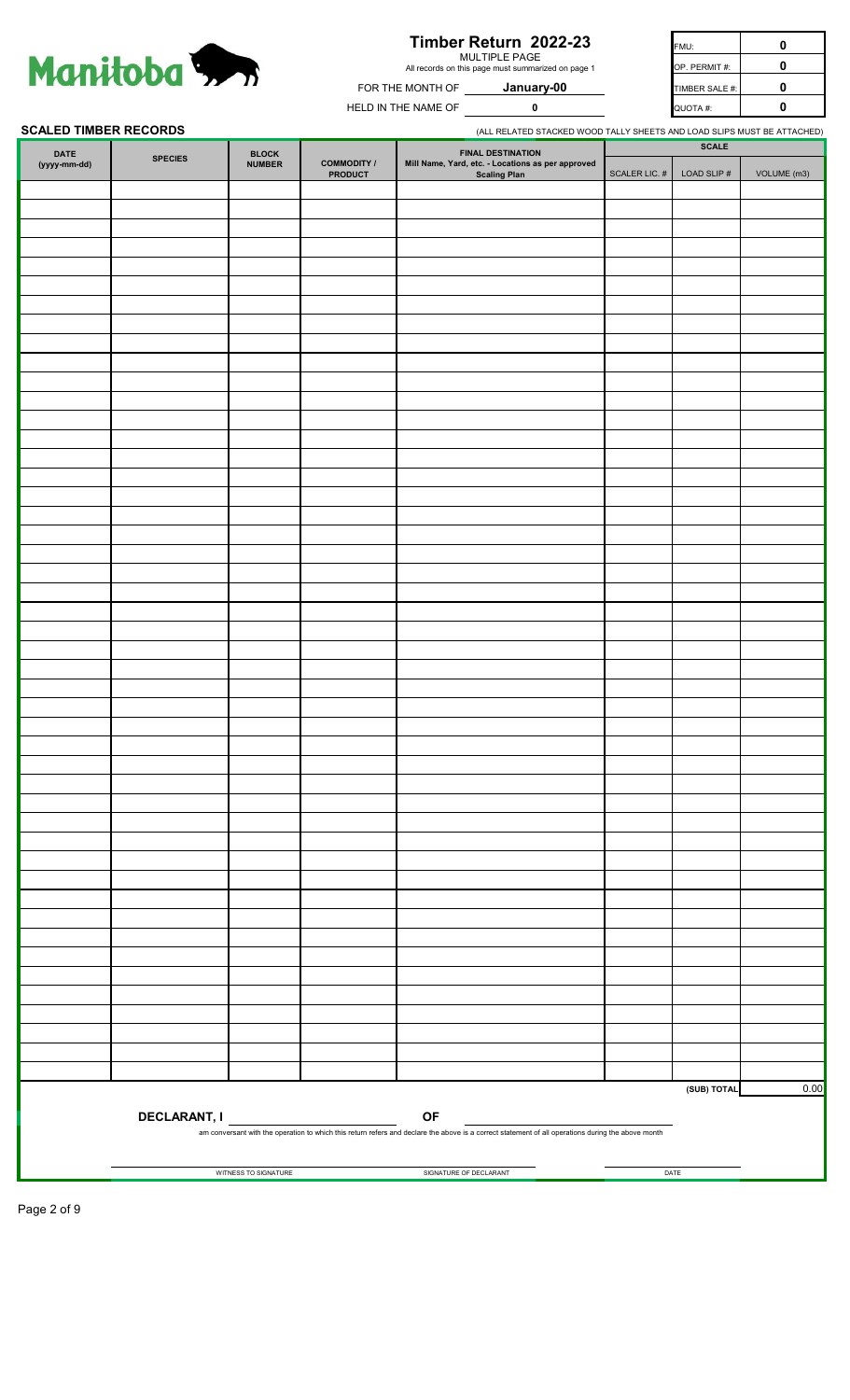

# **Timber Return 2022-23**

MULTIPLE PAGE All records on this page must summarized on page 1

**January-00**

**0**

FMU: **0** FOR THE MONTH OF **January-00** TIMBER SALE #: **0** HELD IN THE NAME OF QUOTA #: **0 0** OP. PERMIT #:

**SCALED TIMBER RECORDS** 

|                      | <b>SCALED TIMBER RECORDS</b> |                        |                                      | (ALL RELATED STACKED WOOD TALLY SHEETS AND LOAD SLIPS MUST BE ATTACHED)                                                                                  |               |                                |             |
|----------------------|------------------------------|------------------------|--------------------------------------|----------------------------------------------------------------------------------------------------------------------------------------------------------|---------------|--------------------------------|-------------|
| DATE<br>(yyyy-mm-dd) | <b>SPECIES</b>               | BLOCK<br><b>NUMBER</b> | <b>COMMODITY /</b><br><b>PRODUCT</b> | <b>FINAL DESTINATION</b><br>Mill Name, Yard, etc. - Locations as per approved<br>Scaling Plan                                                            | SCALER LIC. # | <b>SCALE</b><br>LOAD SLIP $\#$ | VOLUME (m3) |
|                      |                              |                        |                                      |                                                                                                                                                          |               |                                |             |
|                      |                              |                        |                                      |                                                                                                                                                          |               |                                |             |
|                      |                              |                        |                                      |                                                                                                                                                          |               |                                |             |
|                      |                              |                        |                                      |                                                                                                                                                          |               |                                |             |
|                      |                              |                        |                                      |                                                                                                                                                          |               |                                |             |
|                      |                              |                        |                                      |                                                                                                                                                          |               |                                |             |
|                      |                              |                        |                                      |                                                                                                                                                          |               |                                |             |
|                      |                              |                        |                                      |                                                                                                                                                          |               |                                |             |
|                      |                              |                        |                                      |                                                                                                                                                          |               |                                |             |
|                      |                              |                        |                                      |                                                                                                                                                          |               |                                |             |
|                      |                              |                        |                                      |                                                                                                                                                          |               |                                |             |
|                      |                              |                        |                                      |                                                                                                                                                          |               |                                |             |
|                      |                              |                        |                                      |                                                                                                                                                          |               |                                |             |
|                      |                              |                        |                                      |                                                                                                                                                          |               |                                |             |
|                      |                              |                        |                                      |                                                                                                                                                          |               |                                |             |
|                      |                              |                        |                                      |                                                                                                                                                          |               |                                |             |
|                      |                              |                        |                                      |                                                                                                                                                          |               |                                |             |
|                      |                              |                        |                                      |                                                                                                                                                          |               |                                |             |
|                      |                              |                        |                                      |                                                                                                                                                          |               |                                |             |
|                      |                              |                        |                                      |                                                                                                                                                          |               |                                |             |
|                      |                              |                        |                                      |                                                                                                                                                          |               |                                |             |
|                      |                              |                        |                                      |                                                                                                                                                          |               |                                |             |
|                      |                              |                        |                                      |                                                                                                                                                          |               |                                |             |
|                      |                              |                        |                                      |                                                                                                                                                          |               |                                |             |
|                      |                              |                        |                                      |                                                                                                                                                          |               |                                |             |
|                      |                              |                        |                                      |                                                                                                                                                          |               |                                |             |
|                      |                              |                        |                                      |                                                                                                                                                          |               |                                |             |
|                      |                              |                        |                                      |                                                                                                                                                          |               |                                |             |
|                      |                              |                        |                                      |                                                                                                                                                          |               |                                |             |
|                      |                              |                        |                                      |                                                                                                                                                          |               |                                |             |
|                      |                              |                        |                                      |                                                                                                                                                          |               |                                |             |
|                      |                              |                        |                                      |                                                                                                                                                          |               |                                |             |
|                      |                              |                        |                                      |                                                                                                                                                          |               |                                |             |
|                      |                              |                        |                                      |                                                                                                                                                          |               |                                |             |
|                      |                              |                        |                                      |                                                                                                                                                          |               |                                |             |
|                      |                              |                        |                                      |                                                                                                                                                          |               |                                |             |
|                      |                              |                        |                                      |                                                                                                                                                          |               |                                |             |
|                      |                              |                        |                                      |                                                                                                                                                          |               |                                |             |
|                      |                              |                        |                                      |                                                                                                                                                          |               |                                |             |
|                      |                              |                        |                                      |                                                                                                                                                          |               |                                |             |
|                      |                              |                        |                                      |                                                                                                                                                          |               |                                |             |
|                      |                              |                        |                                      |                                                                                                                                                          |               |                                |             |
|                      |                              |                        |                                      |                                                                                                                                                          |               |                                |             |
|                      |                              |                        |                                      |                                                                                                                                                          |               |                                |             |
|                      |                              |                        |                                      |                                                                                                                                                          |               |                                |             |
|                      |                              |                        |                                      |                                                                                                                                                          |               |                                |             |
|                      |                              |                        |                                      |                                                                                                                                                          |               |                                |             |
|                      |                              |                        |                                      |                                                                                                                                                          |               |                                |             |
|                      |                              |                        |                                      |                                                                                                                                                          |               |                                |             |
|                      |                              |                        |                                      |                                                                                                                                                          |               |                                |             |
|                      |                              |                        |                                      |                                                                                                                                                          |               |                                |             |
|                      |                              |                        |                                      |                                                                                                                                                          |               |                                |             |
|                      |                              |                        |                                      |                                                                                                                                                          |               |                                |             |
|                      |                              |                        |                                      |                                                                                                                                                          |               |                                |             |
|                      |                              |                        |                                      |                                                                                                                                                          |               |                                |             |
|                      |                              |                        |                                      |                                                                                                                                                          |               |                                |             |
|                      |                              |                        |                                      |                                                                                                                                                          |               |                                |             |
|                      |                              |                        |                                      |                                                                                                                                                          |               |                                |             |
|                      |                              |                        |                                      |                                                                                                                                                          |               |                                |             |
|                      |                              |                        |                                      |                                                                                                                                                          |               | (SUB) TOTAL                    | 0.00        |
|                      | <b>DECLARANT, I</b>          |                        |                                      | OF<br>am conversant with the operation to which this return refers and declare the above is a correct statement of all operations during the above month |               |                                |             |
|                      |                              |                        |                                      |                                                                                                                                                          |               |                                |             |
|                      |                              | WITNESS TO SIGNATURE   |                                      | SIGNATURE OF DECLARANT                                                                                                                                   |               | DATE                           |             |

Page 2 of 9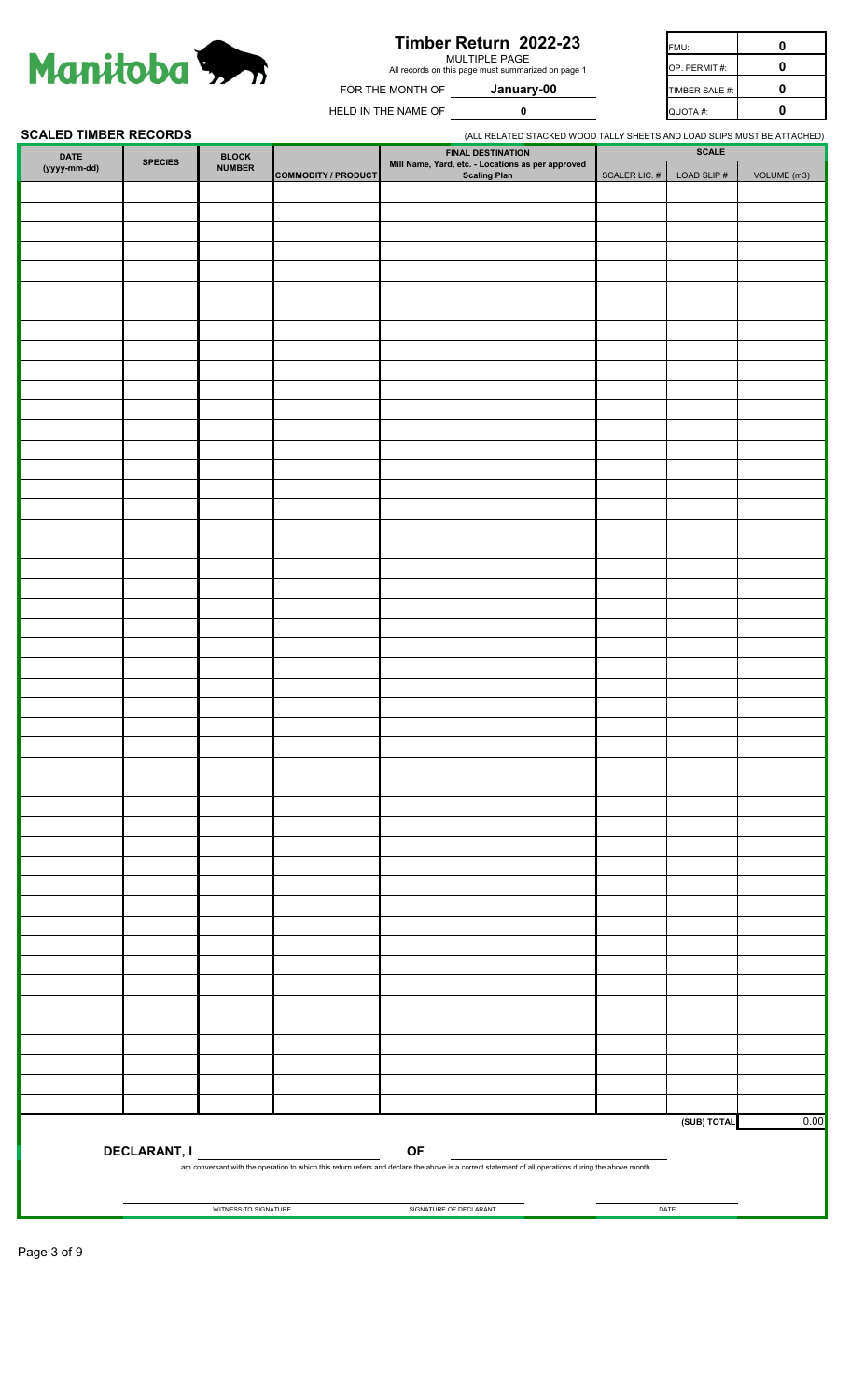

# **Timber Return 2022-23**

MULTIPLE PAGE All records on this page must summarized on page 1

**0**

| IE MONTH OF | January-00 |
|-------------|------------|
|             |            |

FMU: **0** FOR THE MONTH OF **January-00 TIMBER SALE #:** | 0 HELD IN THE NAME OF QUOTA #: **0 0** OP. PERMIT #:

#### **SCALED TIMBER RECORDS**

| SUALED TIMBER REUURDS |                     |                           |                            |                                                                                                                                                                 | (ALL RELATED STACKED WOOD TALLY SHEETS AND LOAD SLIPS MUST BE AT LACHED) |                                |             |
|-----------------------|---------------------|---------------------------|----------------------------|-----------------------------------------------------------------------------------------------------------------------------------------------------------------|--------------------------------------------------------------------------|--------------------------------|-------------|
| DATE<br>(yyyy-mm-dd)  | <b>SPECIES</b>      | $B$ LOCK<br><b>NUMBER</b> | <b>COMMODITY / PRODUCT</b> | <b>FINAL DESTINATION</b><br>Mill Name, Yard, etc. - Locations as per approved<br><b>Scaling Plan</b>                                                            | SCALER LIC. $\#$                                                         | <b>SCALE</b><br>LOAD SLIP $\#$ | VOLUME (m3) |
|                       |                     |                           |                            |                                                                                                                                                                 |                                                                          |                                |             |
|                       |                     |                           |                            |                                                                                                                                                                 |                                                                          |                                |             |
|                       |                     |                           |                            |                                                                                                                                                                 |                                                                          |                                |             |
|                       |                     |                           |                            |                                                                                                                                                                 |                                                                          |                                |             |
|                       |                     |                           |                            |                                                                                                                                                                 |                                                                          |                                |             |
|                       |                     |                           |                            |                                                                                                                                                                 |                                                                          |                                |             |
|                       |                     |                           |                            |                                                                                                                                                                 |                                                                          |                                |             |
|                       |                     |                           |                            |                                                                                                                                                                 |                                                                          |                                |             |
|                       |                     |                           |                            |                                                                                                                                                                 |                                                                          |                                |             |
|                       |                     |                           |                            |                                                                                                                                                                 |                                                                          |                                |             |
|                       |                     |                           |                            |                                                                                                                                                                 |                                                                          |                                |             |
|                       |                     |                           |                            |                                                                                                                                                                 |                                                                          |                                |             |
|                       |                     |                           |                            |                                                                                                                                                                 |                                                                          |                                |             |
|                       |                     |                           |                            |                                                                                                                                                                 |                                                                          |                                |             |
|                       |                     |                           |                            |                                                                                                                                                                 |                                                                          |                                |             |
|                       |                     |                           |                            |                                                                                                                                                                 |                                                                          |                                |             |
|                       |                     |                           |                            |                                                                                                                                                                 |                                                                          |                                |             |
|                       |                     |                           |                            |                                                                                                                                                                 |                                                                          |                                |             |
|                       |                     |                           |                            |                                                                                                                                                                 |                                                                          |                                |             |
|                       |                     |                           |                            |                                                                                                                                                                 |                                                                          |                                |             |
|                       |                     |                           |                            |                                                                                                                                                                 |                                                                          |                                |             |
|                       |                     |                           |                            |                                                                                                                                                                 |                                                                          |                                |             |
|                       |                     |                           |                            |                                                                                                                                                                 |                                                                          |                                |             |
|                       |                     |                           |                            |                                                                                                                                                                 |                                                                          |                                |             |
|                       |                     |                           |                            |                                                                                                                                                                 |                                                                          |                                |             |
|                       |                     |                           |                            |                                                                                                                                                                 |                                                                          |                                |             |
|                       |                     |                           |                            |                                                                                                                                                                 |                                                                          |                                |             |
|                       |                     |                           |                            |                                                                                                                                                                 |                                                                          |                                |             |
|                       |                     |                           |                            |                                                                                                                                                                 |                                                                          |                                |             |
|                       |                     |                           |                            |                                                                                                                                                                 |                                                                          |                                |             |
|                       |                     |                           |                            |                                                                                                                                                                 |                                                                          |                                |             |
|                       |                     |                           |                            |                                                                                                                                                                 |                                                                          |                                |             |
|                       |                     |                           |                            |                                                                                                                                                                 |                                                                          |                                |             |
|                       |                     |                           |                            |                                                                                                                                                                 |                                                                          |                                |             |
|                       |                     |                           |                            |                                                                                                                                                                 |                                                                          |                                |             |
|                       |                     |                           |                            |                                                                                                                                                                 |                                                                          |                                |             |
|                       |                     |                           |                            |                                                                                                                                                                 |                                                                          |                                |             |
|                       |                     |                           |                            |                                                                                                                                                                 |                                                                          |                                |             |
|                       |                     |                           |                            |                                                                                                                                                                 |                                                                          |                                |             |
|                       |                     |                           |                            |                                                                                                                                                                 |                                                                          |                                |             |
|                       |                     |                           |                            |                                                                                                                                                                 |                                                                          |                                |             |
|                       |                     |                           |                            |                                                                                                                                                                 |                                                                          |                                |             |
|                       |                     |                           |                            |                                                                                                                                                                 |                                                                          |                                |             |
|                       |                     |                           |                            |                                                                                                                                                                 |                                                                          |                                |             |
|                       |                     |                           |                            |                                                                                                                                                                 |                                                                          |                                |             |
|                       |                     |                           |                            |                                                                                                                                                                 |                                                                          |                                |             |
|                       |                     |                           |                            |                                                                                                                                                                 |                                                                          | (SUB) TOTAL                    | 0.00        |
|                       | <b>DECLARANT, I</b> |                           |                            | <b>OF</b><br>am conversant with the operation to which this return refers and declare the above is a correct statement of all operations during the above month |                                                                          |                                |             |
|                       |                     | WITNESS TO SIGNATURE      |                            | SIGNATURE OF DECLARANT                                                                                                                                          |                                                                          | DATE                           |             |
|                       |                     |                           |                            |                                                                                                                                                                 |                                                                          |                                |             |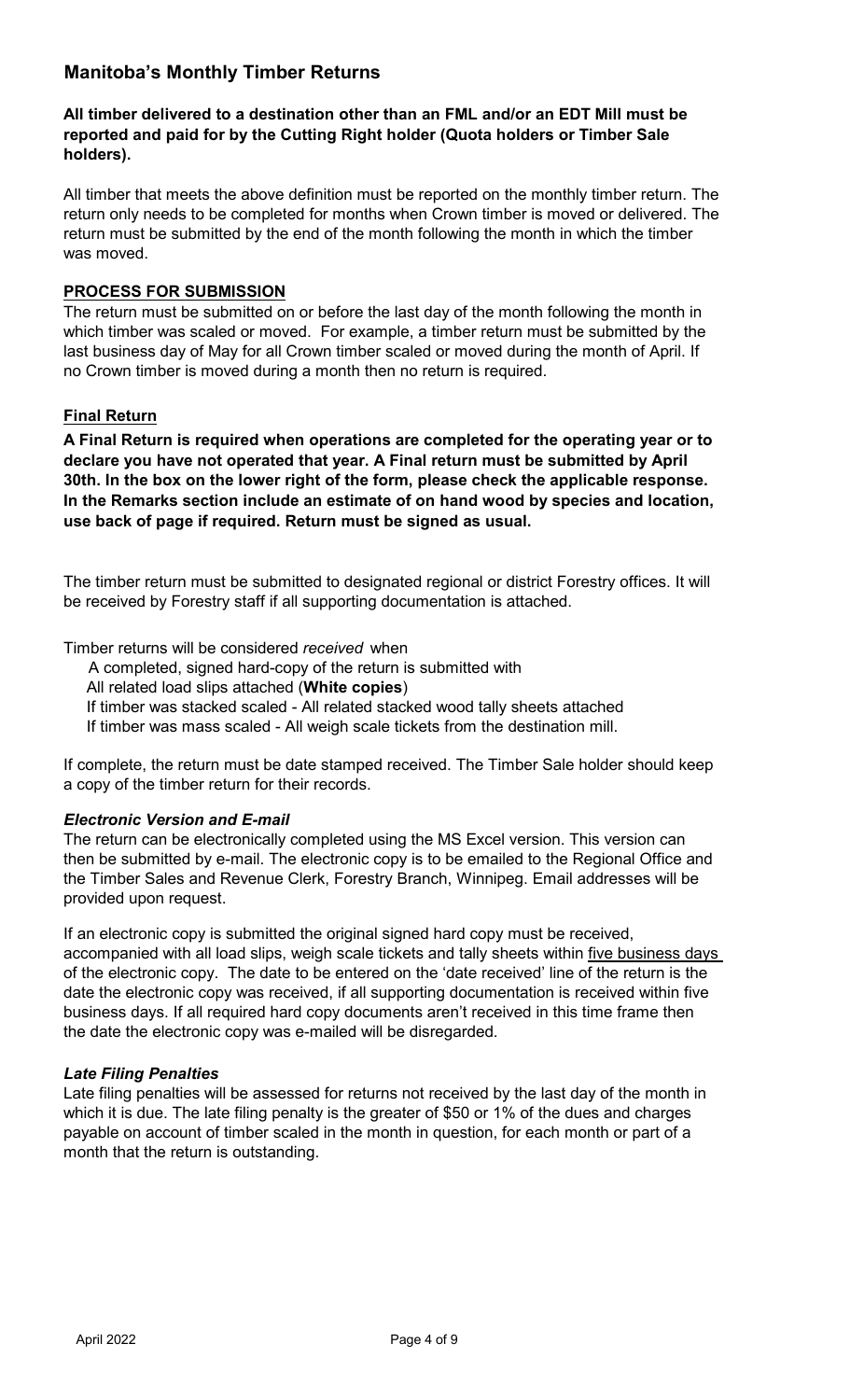# **Manitoba's Monthly Timber Returns**

# **All timber delivered to a destination other than an FML and/or an EDT Mill must be reported and paid for by the Cutting Right holder (Quota holders or Timber Sale holders).**

All timber that meets the above definition must be reported on the monthly timber return. The return only needs to be completed for months when Crown timber is moved or delivered. The return must be submitted by the end of the month following the month in which the timber was moved.

# **PROCESS FOR SUBMISSION**

The return must be submitted on or before the last day of the month following the month in which timber was scaled or moved. For example, a timber return must be submitted by the last business day of May for all Crown timber scaled or moved during the month of April. If no Crown timber is moved during a month then no return is required.

# **Final Return**

**A Final Return is required when operations are completed for the operating year or to declare you have not operated that year. A Final return must be submitted by April 30th. In the box on the lower right of the form, please check the applicable response. In the Remarks section include an estimate of on hand wood by species and location, use back of page if required. Return must be signed as usual.**

The timber return must be submitted to designated regional or district Forestry offices. It will be received by Forestry staff if all supporting documentation is attached.

Timber returns will be considered *received* when

A completed, signed hard-copy of the return is submitted with

All related load slips attached (**White copies**)

If timber was stacked scaled - All related stacked wood tally sheets attached

If timber was mass scaled - All weigh scale tickets from the destination mill.

If complete, the return must be date stamped received. The Timber Sale holder should keep a copy of the timber return for their records.

# *Electronic Version and E-mail*

The return can be electronically completed using the MS Excel version. This version can then be submitted by e-mail. The electronic copy is to be emailed to the Regional Office and the Timber Sales and Revenue Clerk, Forestry Branch, Winnipeg. Email addresses will be provided upon request.

If an electronic copy is submitted the original signed hard copy must be received, accompanied with all load slips, weigh scale tickets and tally sheets within five business days of the electronic copy. The date to be entered on the 'date received' line of the return is the date the electronic copy was received, if all supporting documentation is received within five business days. If all required hard copy documents aren't received in this time frame then the date the electronic copy was e-mailed will be disregarded.

# *Late Filing Penalties*

Late filing penalties will be assessed for returns not received by the last day of the month in which it is due. The late filing penalty is the greater of \$50 or 1% of the dues and charges payable on account of timber scaled in the month in question, for each month or part of a month that the return is outstanding.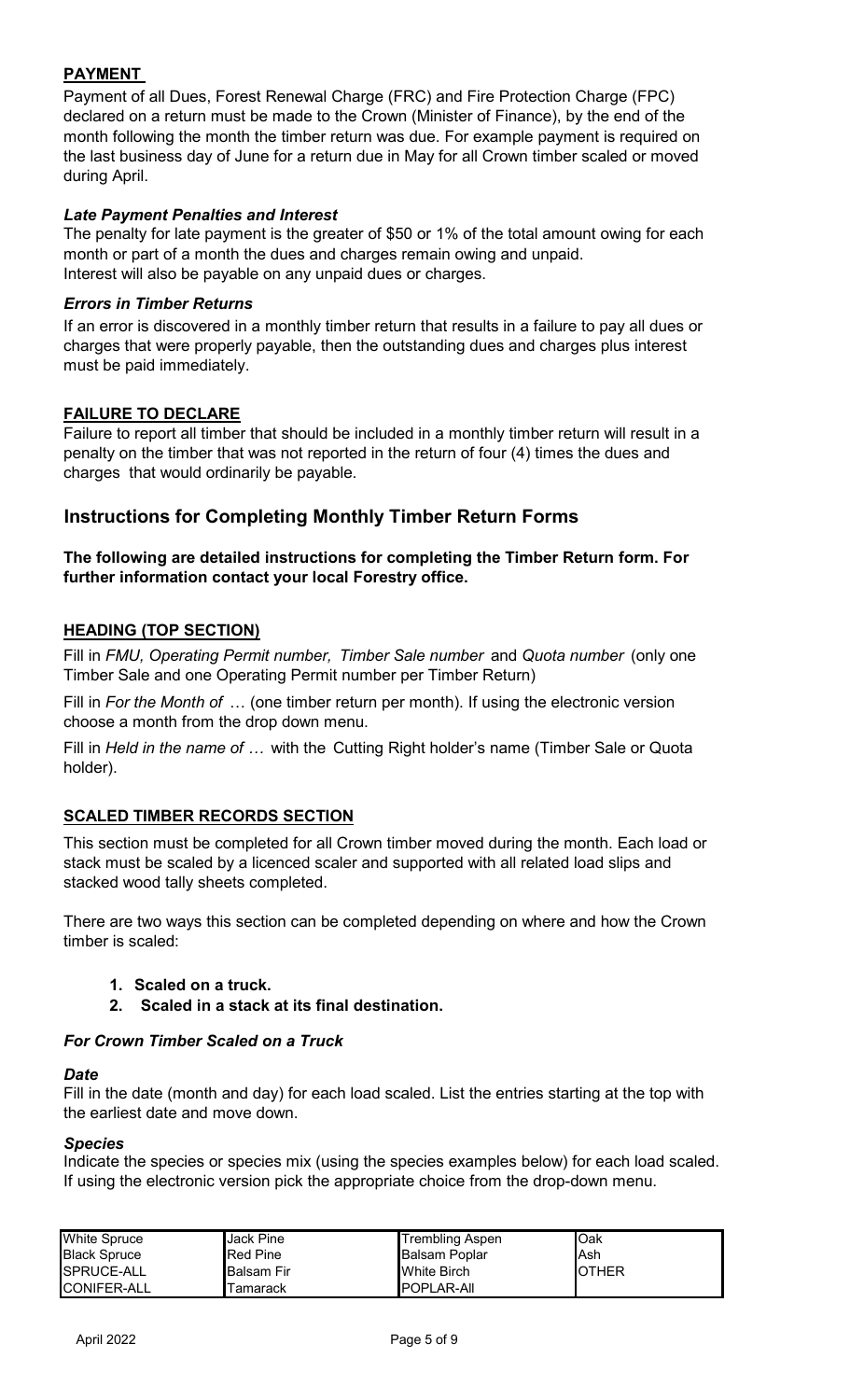# **PAYMENT**

Payment of all Dues, Forest Renewal Charge (FRC) and Fire Protection Charge (FPC) declared on a return must be made to the Crown (Minister of Finance), by the end of the month following the month the timber return was due. For example payment is required on the last business day of June for a return due in May for all Crown timber scaled or moved during April.

# *Late Payment Penalties and Interest*

The penalty for late payment is the greater of \$50 or 1% of the total amount owing for each month or part of a month the dues and charges remain owing and unpaid. Interest will also be payable on any unpaid dues or charges.

# *Errors in Timber Returns*

If an error is discovered in a monthly timber return that results in a failure to pay all dues or charges that were properly payable, then the outstanding dues and charges plus interest must be paid immediately.

# **FAILURE TO DECLARE**

Failure to report all timber that should be included in a monthly timber return will result in a penalty on the timber that was not reported in the return of four (4) times the dues and charges that would ordinarily be payable.

# **Instructions for Completing Monthly Timber Return Forms**

# **The following are detailed instructions for completing the Timber Return form. For further information contact your local Forestry office.**

# **HEADING (TOP SECTION)**

Fill in *FMU, Operating Permit number, Timber Sale number* and *Quota number* (only one Timber Sale and one Operating Permit number per Timber Return)

Fill in *For the Month of* … (one timber return per month). If using the electronic version choose a month from the drop down menu.

Fill in *Held in the name of …* with the Cutting Right holder's name (Timber Sale or Quota holder).

# **SCALED TIMBER RECORDS SECTION**

This section must be completed for all Crown timber moved during the month. Each load or stack must be scaled by a licenced scaler and supported with all related load slips and stacked wood tally sheets completed.

There are two ways this section can be completed depending on where and how the Crown timber is scaled:

- **1. Scaled on a truck.**
- **2. Scaled in a stack at its final destination.**

# *For Crown Timber Scaled on a Truck*

# *Date*

Fill in the date (month and day) for each load scaled. List the entries starting at the top with the earliest date and move down.

# *Species*

Indicate the species or species mix (using the species examples below) for each load scaled. If using the electronic version pick the appropriate choice from the drop-down menu.

| <b>White Spruce</b> | <b>Jack Pine</b>   | <b>Trembling Aspen</b> | <b>I</b> Oak   |
|---------------------|--------------------|------------------------|----------------|
| <b>Black Spruce</b> | <b>Red Pine</b>    | Balsam Poplar          | lAsh           |
| SPRUCE-ALL          | <b>IBalsam Fir</b> | <b>White Birch</b>     | <b>I</b> OTHER |
| <b>CONIFER-ALL</b>  | l amarack          | <b>IPOPLAR-AII</b>     |                |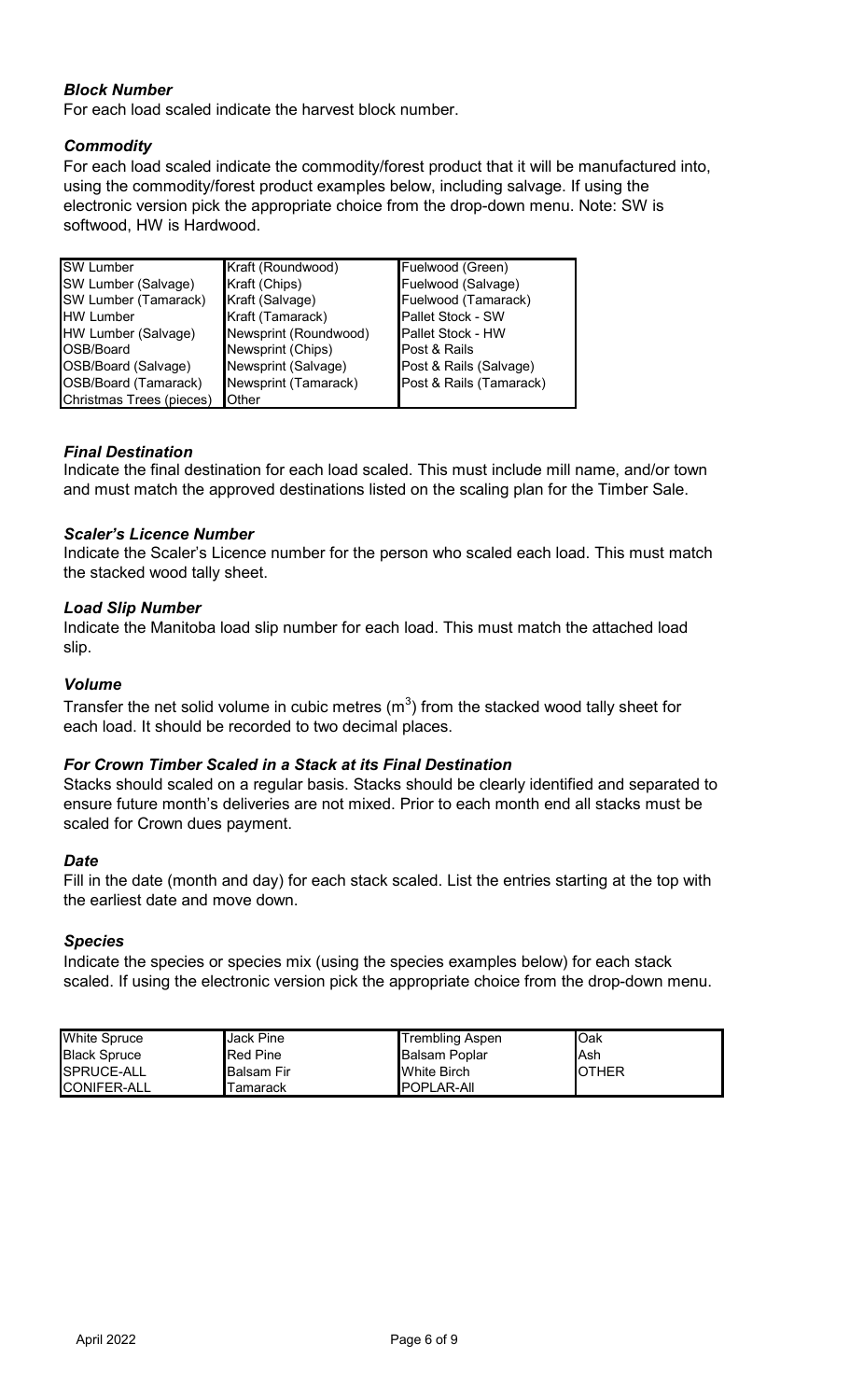# *Block Number*

For each load scaled indicate the harvest block number.

# *Commodity*

For each load scaled indicate the commodity/forest product that it will be manufactured into, using the commodity/forest product examples below, including salvage. If using the electronic version pick the appropriate choice from the drop-down menu. Note: SW is softwood, HW is Hardwood.

| <b>SW Lumber</b>         | Kraft (Roundwood)     | Fuelwood (Green)         |
|--------------------------|-----------------------|--------------------------|
| SW Lumber (Salvage)      | Kraft (Chips)         | Fuelwood (Salvage)       |
| SW Lumber (Tamarack)     | Kraft (Salvage)       | Fuelwood (Tamarack)      |
| <b>HW Lumber</b>         | Kraft (Tamarack)      | Pallet Stock - SW        |
| HW Lumber (Salvage)      | Newsprint (Roundwood) | <b>Pallet Stock - HW</b> |
| OSB/Board                | Newsprint (Chips)     | Post & Rails             |
| OSB/Board (Salvage)      | Newsprint (Salvage)   | Post & Rails (Salvage)   |
| OSB/Board (Tamarack)     | Newsprint (Tamarack)  | Post & Rails (Tamarack)  |
| Christmas Trees (pieces) | Other                 |                          |

# *Final Destination*

Indicate the final destination for each load scaled. This must include mill name, and/or town and must match the approved destinations listed on the scaling plan for the Timber Sale.

# *Scaler's Licence Number*

Indicate the Scaler's Licence number for the person who scaled each load. This must match the stacked wood tally sheet.

# *Load Slip Number*

Indicate the Manitoba load slip number for each load. This must match the attached load slip.

# *Volume*

Transfer the net solid volume in cubic metres (m $^3)$  from the stacked wood tally sheet for each load. It should be recorded to two decimal places.

# *For Crown Timber Scaled in a Stack at its Final Destination*

Stacks should scaled on a regular basis. Stacks should be clearly identified and separated to ensure future month's deliveries are not mixed. Prior to each month end all stacks must be scaled for Crown dues payment.

#### *Date*

Fill in the date (month and day) for each stack scaled. List the entries starting at the top with the earliest date and move down.

#### *Species*

Indicate the species or species mix (using the species examples below) for each stack scaled. If using the electronic version pick the appropriate choice from the drop-down menu.

| <b>White Spruce</b> | <b>Jack Pine</b>    | <b>Trembling Aspen</b> | <b>l</b> Oak   |
|---------------------|---------------------|------------------------|----------------|
| <b>Black Spruce</b> | <b>Red Pine</b>     | <b>Balsam Poplar</b>   | lAsh           |
| SPRUCE-ALL          | <b>I</b> Balsam Fir | <b>White Birch</b>     | <b>I</b> OTHER |
| <b>CONIFER-ALL</b>  | Tamarack            | <b>IPOPLAR-AII</b>     |                |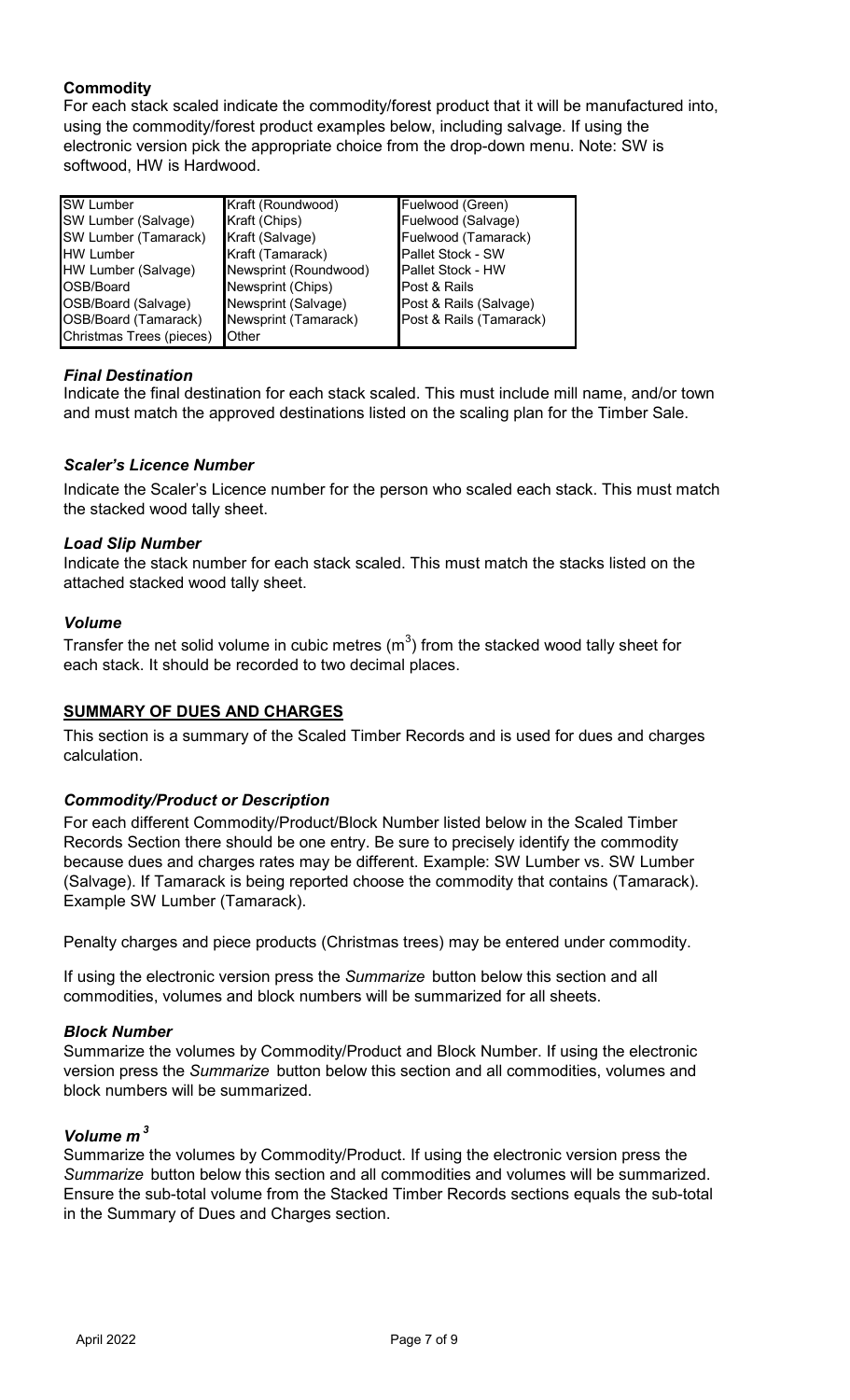# **Commodity**

For each stack scaled indicate the commodity/forest product that it will be manufactured into, using the commodity/forest product examples below, including salvage. If using the electronic version pick the appropriate choice from the drop-down menu. Note: SW is softwood, HW is Hardwood.

| <b>SW</b> Lumber         | Kraft (Roundwood)     | Fuelwood (Green)         |
|--------------------------|-----------------------|--------------------------|
| SW Lumber (Salvage)      | Kraft (Chips)         | Fuelwood (Salvage)       |
| SW Lumber (Tamarack)     | Kraft (Salvage)       | Fuelwood (Tamarack)      |
| <b>HW Lumber</b>         | Kraft (Tamarack)      | Pallet Stock - SW        |
| HW Lumber (Salvage)      | Newsprint (Roundwood) | <b>Pallet Stock - HW</b> |
| OSB/Board                | Newsprint (Chips)     | Post & Rails             |
| OSB/Board (Salvage)      | Newsprint (Salvage)   | Post & Rails (Salvage)   |
| OSB/Board (Tamarack)     | Newsprint (Tamarack)  | Post & Rails (Tamarack)  |
| Christmas Trees (pieces) | <b>Other</b>          |                          |

# *Final Destination*

Indicate the final destination for each stack scaled. This must include mill name, and/or town and must match the approved destinations listed on the scaling plan for the Timber Sale.

# *Scaler's Licence Number*

Indicate the Scaler's Licence number for the person who scaled each stack. This must match the stacked wood tally sheet.

# *Load Slip Number*

Indicate the stack number for each stack scaled. This must match the stacks listed on the attached stacked wood tally sheet.

# *Volume*

Transfer the net solid volume in cubic metres (m $^3)$  from the stacked wood tally sheet for each stack. It should be recorded to two decimal places.

# **SUMMARY OF DUES AND CHARGES**

This section is a summary of the Scaled Timber Records and is used for dues and charges calculation.

# *Commodity/Product or Description*

For each different Commodity/Product/Block Number listed below in the Scaled Timber Records Section there should be one entry. Be sure to precisely identify the commodity because dues and charges rates may be different. Example: SW Lumber vs. SW Lumber (Salvage). If Tamarack is being reported choose the commodity that contains (Tamarack). Example SW Lumber (Tamarack).

Penalty charges and piece products (Christmas trees) may be entered under commodity.

If using the electronic version press the *Summarize* button below this section and all commodities, volumes and block numbers will be summarized for all sheets.

# *Block Number*

Summarize the volumes by Commodity/Product and Block Number. If using the electronic version press the *Summarize* button below this section and all commodities, volumes and block numbers will be summarized.

# *Volume m <sup>3</sup>*

Summarize the volumes by Commodity/Product. If using the electronic version press the *Summarize* button below this section and all commodities and volumes will be summarized. Ensure the sub-total volume from the Stacked Timber Records sections equals the sub-total in the Summary of Dues and Charges section.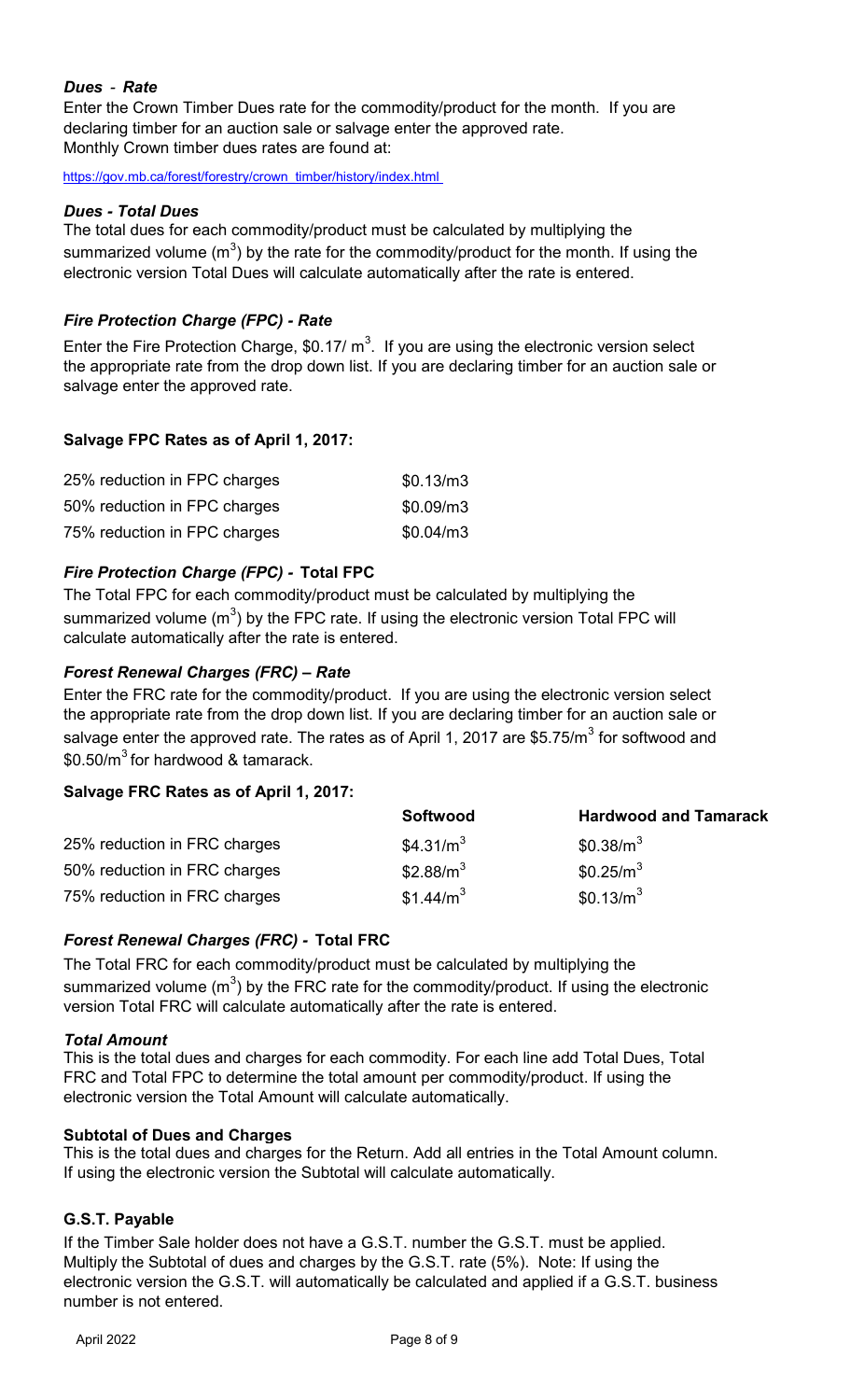# *Dues - Rate*

Enter the Crown Timber Dues rate for the commodity/product for the month. If you are declaring timber for an auction sale or salvage enter the approved rate. Monthly Crown timber dues rates are found at:

[https://gov.mb.ca/forest/forestry/crown\\_timber/history/index.html](https://gov.mb.ca/forest/forestry/crown_timber/history/index.html) 

# *Dues - Total Dues*

The total dues for each commodity/product must be calculated by multiplying the summarized volume (m $^3$ ) by the rate for the commodity/product for the month. If using the electronic version Total Dues will calculate automatically after the rate is entered.

# *Fire Protection Charge (FPC) - Rate*

Enter the Fire Protection Charge, \$0.17/  $\text{m}^3$ . If you are using the electronic version select the appropriate rate from the drop down list. If you are declaring timber for an auction sale or salvage enter the approved rate.

# **Salvage FPC Rates as of April 1, 2017:**

| 25% reduction in FPC charges | \$0.13/m3 |
|------------------------------|-----------|
| 50% reduction in FPC charges | \$0.09/m3 |
| 75% reduction in FPC charges | \$0.04/m3 |

# *Fire Protection Charge (FPC) -* **Total FPC**

The Total FPC for each commodity/product must be calculated by multiplying the summarized volume (m $^3$ ) by the FPC rate. If using the electronic version Total FPC will calculate automatically after the rate is entered.

# *Forest Renewal Charges (FRC) – Rate*

Enter the FRC rate for the commodity/product. If you are using the electronic version select the appropriate rate from the drop down list. If you are declaring timber for an auction sale or salvage enter the approved rate. The rates as of April 1, 2017 are \$5.75/m $^3$  for softwood and  $$0.50/m<sup>3</sup>$  for hardwood & tamarack.

# **Salvage FRC Rates as of April 1, 2017:**

|                              | <b>Softwood</b>       | <b>Hardwood and Tamarack</b> |
|------------------------------|-----------------------|------------------------------|
| 25% reduction in FRC charges | \$4.31/ $m3$          | \$0.38/m <sup>3</sup>        |
| 50% reduction in FRC charges | \$2.88/ $m3$          | $$0.25/m^3$                  |
| 75% reduction in FRC charges | \$1.44/m <sup>3</sup> | \$0.13/m <sup>3</sup>        |

# *Forest Renewal Charges (FRC) -* **Total FRC**

The Total FRC for each commodity/product must be calculated by multiplying the summarized volume (m $^3$ ) by the FRC rate for the commodity/product. If using the electronic version Total FRC will calculate automatically after the rate is entered.

# *Total Amount*

This is the total dues and charges for each commodity. For each line add Total Dues, Total FRC and Total FPC to determine the total amount per commodity/product. If using the electronic version the Total Amount will calculate automatically.

# **Subtotal of Dues and Charges**

This is the total dues and charges for the Return. Add all entries in the Total Amount column. If using the electronic version the Subtotal will calculate automatically.

# **G.S.T. Payable**

If the Timber Sale holder does not have a G.S.T. number the G.S.T. must be applied. Multiply the Subtotal of dues and charges by the G.S.T. rate (5%). Note: If using the electronic version the G.S.T. will automatically be calculated and applied if a G.S.T. business number is not entered.